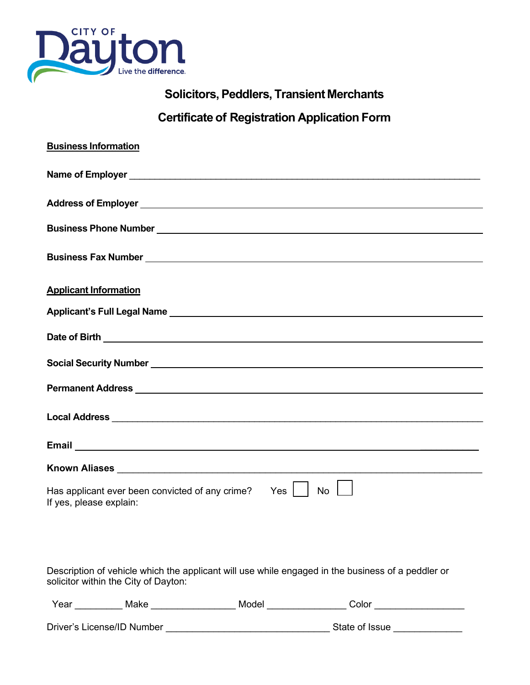

## **Solicitors,Peddlers, Transient Merchants**

## **Certificate of Registration Application Form**

| <b>Business Information</b>                                                                                                                                                                                                    |
|--------------------------------------------------------------------------------------------------------------------------------------------------------------------------------------------------------------------------------|
|                                                                                                                                                                                                                                |
|                                                                                                                                                                                                                                |
|                                                                                                                                                                                                                                |
|                                                                                                                                                                                                                                |
| <b>Applicant Information</b>                                                                                                                                                                                                   |
| Applicant's Full Legal Name Manual Applicant of The Manual Applicant of The Manual Applicant of The Manual Applicant of The Manual Applicant of The Manual Applicant of The Manual Applicant of The Manual Applicant of The Ma |
|                                                                                                                                                                                                                                |
| Social Security Number National Contract of Security Number National Contract of Security Number National Contract of Security Number 1, 1999                                                                                  |
|                                                                                                                                                                                                                                |
|                                                                                                                                                                                                                                |
|                                                                                                                                                                                                                                |
| Known Aliases Management and Contract and Contract of the Contract of the Contract of the Contract of the Contract of the Contract of the Contract of the Contract of the Contract of the Contract of the Contract of the Cont |
| Has applicant ever been convicted of any crime?<br>Yes I<br><b>No</b><br>If yes, please explain:                                                                                                                               |

Description of vehicle which the applicant will use while engaged in the business of a peddler or solicitor within the City of Dayton:

| $\mathbf{v}$ $\mathbf{v}$<br>ear<br>$\sim$ | W.<br>שני | . <b>. .</b> | .olor |  |
|--------------------------------------------|-----------|--------------|-------|--|
|                                            |           |              |       |  |

Driver's License/ID Number \_\_\_\_\_\_\_\_\_\_\_\_\_\_\_\_\_\_\_\_\_\_\_\_\_\_\_\_\_\_\_ State of Issue \_\_\_\_\_\_\_\_\_\_\_\_\_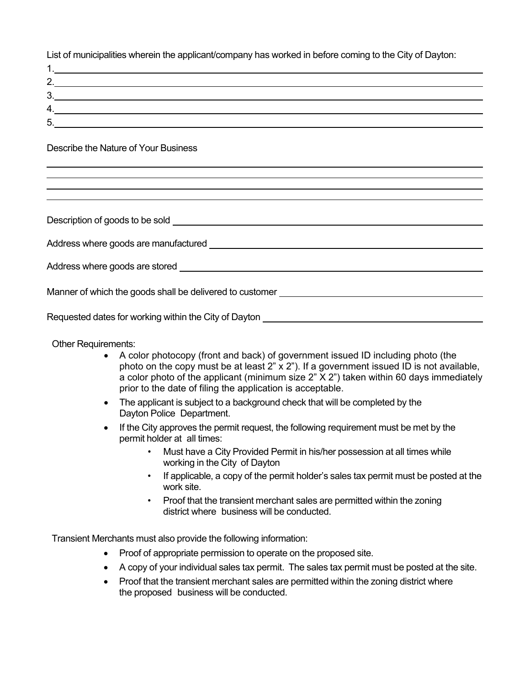List of municipalities wherein the applicant/company has worked in before coming to the City of Dayton:

| ۷. |  |
|----|--|
| 3. |  |
|    |  |
| 5  |  |

Describe the Nature of Your Business

| Address where goods are manufactured <b>example and all analytical contract of the state of the state of the state of the state of the state of the state of the state of the state of the state of the state of the state of th</b> |  |  |
|--------------------------------------------------------------------------------------------------------------------------------------------------------------------------------------------------------------------------------------|--|--|
|                                                                                                                                                                                                                                      |  |  |
| Address where goods are stored and the state of the state of the state of the state of the state of the state of the state of the state of the state of the state of the state of the state of the state of the state of the s       |  |  |
|                                                                                                                                                                                                                                      |  |  |
| Manner of which the goods shall be delivered to customer<br><u>Nanner of which the goods shall be delivered to customer</u>                                                                                                          |  |  |
|                                                                                                                                                                                                                                      |  |  |
| Requested dates for working within the City of Dayton                                                                                                                                                                                |  |  |

Other Requirements:

- A color photocopy (front and back) of government issued ID including photo (the photo on the copy must be at least  $2$ " x  $2$ "). If a government issued ID is not available, a color photo of the applicant (minimum size 2" X 2") taken within 60 days immediately prior to the date of filing the application is acceptable.
- The applicant is subject to a background check that will be completed by the Dayton Police Department.
- If the City approves the permit request, the following requirement must be met by the permit holder at all times:
	- Must have a City Provided Permit in his/her possession at all times while working in the City of Dayton
	- If applicable, a copy of the permit holder's sales tax permit must be posted at the work site.
	- Proof that the transient merchant sales are permitted within the zoning district where business will be conducted.

Transient Merchants must also provide the following information:

- Proof of appropriate permission to operate on the proposed site.
- A copy of your individual sales tax permit. The sales tax permit must be posted at the site.
- Proof that the transient merchant sales are permitted within the zoning district where the proposed business will be conducted.